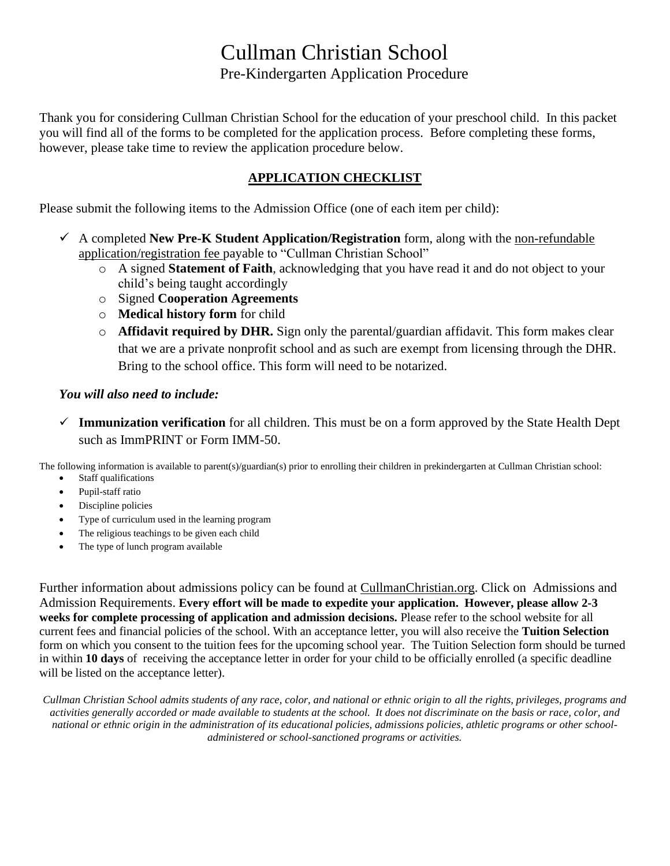# Cullman Christian School Pre-Kindergarten Application Procedure

Thank you for considering Cullman Christian School for the education of your preschool child. In this packet you will find all of the forms to be completed for the application process. Before completing these forms, however, please take time to review the application procedure below.

### **APPLICATION CHECKLIST**

Please submit the following items to the Admission Office (one of each item per child):

- ✓ A completed **New Pre-K Student Application/Registration** form, along with the non-refundable application/registration fee payable to "Cullman Christian School"
	- o A signed **Statement of Faith**, acknowledging that you have read it and do not object to your child's being taught accordingly
	- o Signed **Cooperation Agreements**
	- o **Medical history form** for child
	- o **Affidavit required by DHR.** Sign only the parental/guardian affidavit. This form makes clear that we are a private nonprofit school and as such are exempt from licensing through the DHR. Bring to the school office. This form will need to be notarized.

### *You will also need to include:*

✓ **Immunization verification** for all children. This must be on a form approved by the State Health Dept such as ImmPRINT or Form IMM-50.

The following information is available to parent(s)/guardian(s) prior to enrolling their children in prekindergarten at Cullman Christian school:

- Staff qualifications
- Pupil-staff ratio
- Discipline policies
- Type of curriculum used in the learning program
- The religious teachings to be given each child
- The type of lunch program available

Further information about admissions policy can be found at CullmanChristian.org. Click on Admissions and Admission Requirements. **Every effort will be made to expedite your application. However, please allow 2-3 weeks for complete processing of application and admission decisions.** Please refer to the school website for all current fees and financial policies of the school. With an acceptance letter, you will also receive the **Tuition Selection** form on which you consent to the tuition fees for the upcoming school year. The Tuition Selection form should be turned in within **10 days** of receiving the acceptance letter in order for your child to be officially enrolled (a specific deadline will be listed on the acceptance letter).

*Cullman Christian School admits students of any race, color, and national or ethnic origin to all the rights, privileges, programs and activities generally accorded or made available to students at the school. It does not discriminate on the basis or race, color, and national or ethnic origin in the administration of its educational policies, admissions policies, athletic programs or other schooladministered or school-sanctioned programs or activities.*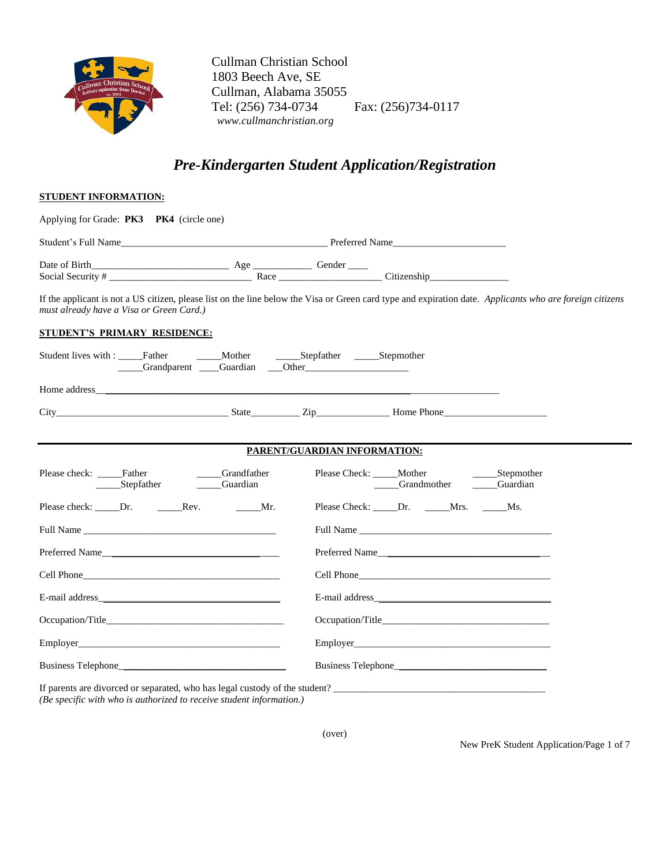

 Cullman Christian School 1803 Beech Ave, SE Cullman, Alabama 35055 Tel: (256) 734-0734 Fax: (256)734-0117  *www.cullmanchristian.org*

## *Pre-Kindergarten Student Application/Registration*

| <b>STUDENT INFORMATION:</b>                                                                                                                                                                                                    |                                                   |                              |                                                                                                                                                                                                                               |                  |
|--------------------------------------------------------------------------------------------------------------------------------------------------------------------------------------------------------------------------------|---------------------------------------------------|------------------------------|-------------------------------------------------------------------------------------------------------------------------------------------------------------------------------------------------------------------------------|------------------|
| Applying for Grade: PK3 PK4 (circle one)                                                                                                                                                                                       |                                                   |                              |                                                                                                                                                                                                                               |                  |
|                                                                                                                                                                                                                                |                                                   |                              |                                                                                                                                                                                                                               |                  |
|                                                                                                                                                                                                                                |                                                   |                              |                                                                                                                                                                                                                               |                  |
| If the applicant is not a US citizen, please list on the line below the Visa or Green card type and expiration date. Applicants who are foreign citizens<br>must already have a Visa or Green Card.)                           |                                                   |                              |                                                                                                                                                                                                                               |                  |
| <u>STUDENT'S PRIMARY RESIDENCE:</u>                                                                                                                                                                                            |                                                   |                              |                                                                                                                                                                                                                               |                  |
| Student lives with : _____Father<br>Crandparent Cuardian Cher                                                                                                                                                                  | _____Mother _________Stepfather _______Stepmother |                              |                                                                                                                                                                                                                               |                  |
|                                                                                                                                                                                                                                |                                                   |                              |                                                                                                                                                                                                                               |                  |
| City Home Phone                                                                                                                                                                                                                |                                                   |                              |                                                                                                                                                                                                                               |                  |
|                                                                                                                                                                                                                                |                                                   |                              |                                                                                                                                                                                                                               |                  |
|                                                                                                                                                                                                                                |                                                   | PARENT/GUARDIAN INFORMATION: |                                                                                                                                                                                                                               |                  |
| Please check: ______Father _________Grandfath<br>______Stepfather _________Guardian                                                                                                                                            | ____Grandfather                                   |                              | Please Check: _____Mother<br>Grandmother Guardian                                                                                                                                                                             | ______Stepmother |
|                                                                                                                                                                                                                                |                                                   |                              | Please Check: ______Dr. ______Mrs. ______Ms.                                                                                                                                                                                  |                  |
| Full Name and the state of the state of the state of the state of the state of the state of the state of the state of the state of the state of the state of the state of the state of the state of the state of the state of  |                                                   |                              | Full Name and the state of the state of the state of the state of the state of the state of the state of the state of the state of the state of the state of the state of the state of the state of the state of the state of |                  |
| Preferred Name                                                                                                                                                                                                                 |                                                   |                              | Preferred Name                                                                                                                                                                                                                |                  |
|                                                                                                                                                                                                                                |                                                   |                              |                                                                                                                                                                                                                               |                  |
|                                                                                                                                                                                                                                |                                                   |                              |                                                                                                                                                                                                                               |                  |
|                                                                                                                                                                                                                                |                                                   |                              |                                                                                                                                                                                                                               |                  |
| Employer and the state of the state of the state of the state of the state of the state of the state of the state of the state of the state of the state of the state of the state of the state of the state of the state of t |                                                   |                              | <b>Employer</b>                                                                                                                                                                                                               |                  |
|                                                                                                                                                                                                                                |                                                   |                              |                                                                                                                                                                                                                               |                  |
| If parents are divorced or separated, who has legal custody of the student?                                                                                                                                                    |                                                   |                              |                                                                                                                                                                                                                               |                  |

*(Be specific with who is authorized to receive student information.)* 

(over)

New PreK Student Application/Page 1 of 7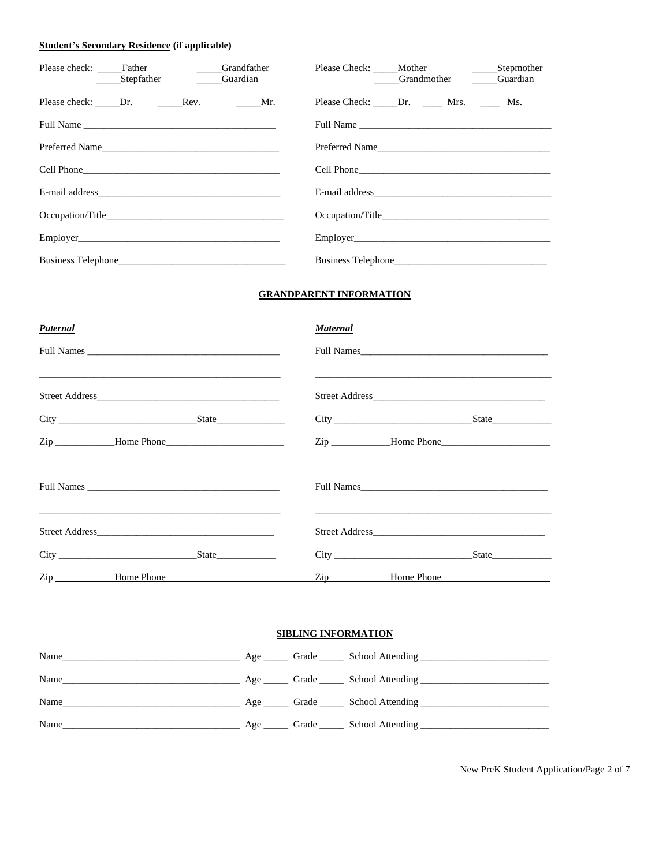#### **Student's Secondary Residence (if applicable)**

| Please check: ______Father _______ | Stepfather Guardian | Grandfather |                                                                                                                                                                                                                               | _____Grandmother ______Guardian |  |
|------------------------------------|---------------------|-------------|-------------------------------------------------------------------------------------------------------------------------------------------------------------------------------------------------------------------------------|---------------------------------|--|
|                                    |                     |             | Please Check: Dr. Mrs. Ms.                                                                                                                                                                                                    |                                 |  |
| Full Name                          |                     |             | Full Name and the contract of the contract of the contract of the contract of the contract of the contract of the contract of the contract of the contract of the contract of the contract of the contract of the contract of |                                 |  |
| Preferred Name                     |                     |             |                                                                                                                                                                                                                               |                                 |  |
|                                    |                     |             |                                                                                                                                                                                                                               |                                 |  |
|                                    |                     |             |                                                                                                                                                                                                                               |                                 |  |
|                                    |                     |             | Occupation/Title                                                                                                                                                                                                              |                                 |  |
|                                    |                     |             |                                                                                                                                                                                                                               |                                 |  |
|                                    |                     |             |                                                                                                                                                                                                                               |                                 |  |

#### **GRANDPARENT INFORMATION**

| Paternal                                             | <b>Maternal</b>                                                                                                                     |
|------------------------------------------------------|-------------------------------------------------------------------------------------------------------------------------------------|
|                                                      | Full Names                                                                                                                          |
|                                                      |                                                                                                                                     |
|                                                      |                                                                                                                                     |
|                                                      |                                                                                                                                     |
| <u> 1990 - Jan Barnett, fransk politik (d. 1980)</u> | Full Names<br><u> 1989 - Jan James James James James James James James James James James James James James James James James Ja</u> |
|                                                      |                                                                                                                                     |
|                                                      |                                                                                                                                     |
| Zip Home Phone                                       | $\mathop{\mathrm{Zip}}\nolimits$<br>Home Phone                                                                                      |

#### **SIBLING INFORMATION**

| Name |  |  |
|------|--|--|
| Name |  |  |
|      |  |  |
| Name |  |  |

New PreK Student Application/Page 2 of 7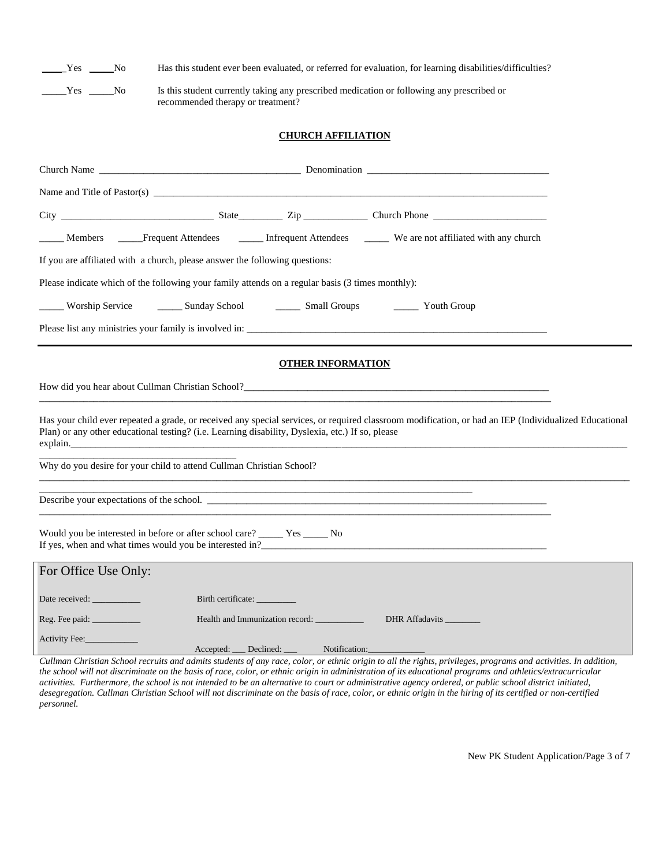\_\_\_\_\_Yes \_\_\_\_\_No Has this student ever been evaluated, or referred for evaluation, for learning disabilities/difficulties?

\_\_\_\_\_Yes \_\_\_\_\_No Is this student currently taking any prescribed medication or following any prescribed or recommended therapy or treatment?

#### **CHURCH AFFILIATION**

|                            |                                                                                                              |                                              | Members _____Frequent Attendees ________ Infrequent Attendees ________ We are not affiliated with any church                                                                    |  |
|----------------------------|--------------------------------------------------------------------------------------------------------------|----------------------------------------------|---------------------------------------------------------------------------------------------------------------------------------------------------------------------------------|--|
|                            | If you are affiliated with a church, please answer the following questions:                                  |                                              |                                                                                                                                                                                 |  |
|                            | Please indicate which of the following your family attends on a regular basis (3 times monthly):             |                                              |                                                                                                                                                                                 |  |
|                            |                                                                                                              |                                              | Worship Service _________ Sunday School __________ Small Groups _________ Youth Group                                                                                           |  |
|                            |                                                                                                              |                                              | Please list any ministries your family is involved in:                                                                                                                          |  |
|                            |                                                                                                              | <b>OTHER INFORMATION</b>                     |                                                                                                                                                                                 |  |
|                            |                                                                                                              |                                              | How did you hear about Cullman Christian School?                                                                                                                                |  |
|                            | Plan) or any other educational testing? (i.e. Learning disability, Dyslexia, etc.) If so, please<br>explain. |                                              | Has your child ever repeated a grade, or received any special services, or required classroom modification, or had an IEP (Individualized Educational                           |  |
|                            | Why do you desire for your child to attend Cullman Christian School?                                         |                                              |                                                                                                                                                                                 |  |
|                            |                                                                                                              |                                              | <u> 1989 - Andrea Santa Andrea Andrea Andrea Andrea Andrea Andrea Andrea Andrea Andrea Andrea Andrea Andrea Andr</u>                                                            |  |
|                            | Would you be interested in before or after school care? _____ Yes _____ No                                   |                                              | <u> 1989 - Andrea Santa Andrea Andrea Andrea Andrea Andrea Andrea Andrea Andrea Andrea Andrea Andrea Andrea Andr</u><br>If yes, when and what times would you be interested in? |  |
| For Office Use Only:       |                                                                                                              |                                              |                                                                                                                                                                                 |  |
| Date received: ___________ | Birth certificate: ___________                                                                               |                                              |                                                                                                                                                                                 |  |
|                            |                                                                                                              | Health and Immunization record: ____________ | DHR Affadavits                                                                                                                                                                  |  |
| Activity Fee:              |                                                                                                              | Accepted: Declined: Notification:            |                                                                                                                                                                                 |  |

*Cullman Christian School recruits and admits students of any race, color, or ethnic origin to all the rights, privileges, programs and activities. In addition, the school will not discriminate on the basis of race, color, or ethnic origin in administration of its educational programs and athletics/extracurricular activities. Furthermore, the school is not intended to be an alternative to court or administrative agency ordered, or public school district initiated, desegregation. Cullman Christian School will not discriminate on the basis of race, color, or ethnic origin in the hiring of its certified or non-certified personnel.*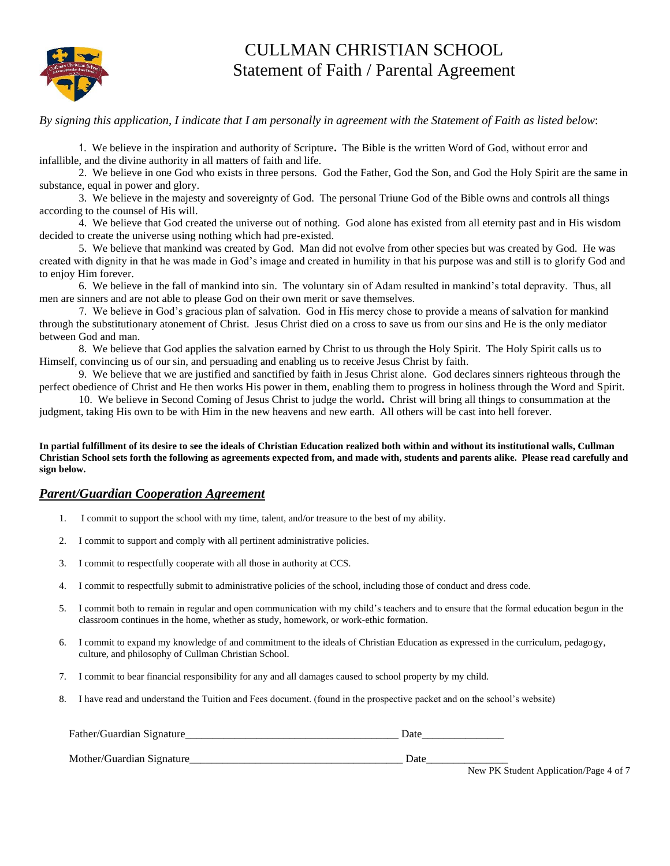

## CULLMAN CHRISTIAN SCHOOL Statement of Faith / Parental Agreement

*By signing this application, I indicate that I am personally in agreement with the Statement of Faith as listed below*:

1. We believe in the inspiration and authority of Scripture**.** The Bible is the written Word of God, without error and infallible, and the divine authority in all matters of faith and life.

2. We believe in one God who exists in three persons. God the Father, God the Son, and God the Holy Spirit are the same in substance, equal in power and glory.

3. We believe in the majesty and sovereignty of God. The personal Triune God of the Bible owns and controls all things according to the counsel of His will.

4. We believe that God created the universe out of nothing. God alone has existed from all eternity past and in His wisdom decided to create the universe using nothing which had pre-existed.

5. We believe that mankind was created by God. Man did not evolve from other species but was created by God. He was created with dignity in that he was made in God's image and created in humility in that his purpose was and still is to glorify God and to enjoy Him forever.

6. We believe in the fall of mankind into sin. The voluntary sin of Adam resulted in mankind's total depravity. Thus, all men are sinners and are not able to please God on their own merit or save themselves.

7. We believe in God's gracious plan of salvation. God in His mercy chose to provide a means of salvation for mankind through the substitutionary atonement of Christ. Jesus Christ died on a cross to save us from our sins and He is the only mediator between God and man.

8. We believe that God applies the salvation earned by Christ to us through the Holy Spirit. The Holy Spirit calls us to Himself, convincing us of our sin, and persuading and enabling us to receive Jesus Christ by faith.

9. We believe that we are justified and sanctified by faith in Jesus Christ alone.God declares sinners righteous through the perfect obedience of Christ and He then works His power in them, enabling them to progress in holiness through the Word and Spirit.

10. We believe in Second Coming of Jesus Christ to judge the world**.** Christ will bring all things to consummation at the judgment, taking His own to be with Him in the new heavens and new earth. All others will be cast into hell forever.

**In partial fulfillment of its desire to see the ideals of Christian Education realized both within and without its institutional walls, Cullman Christian School sets forth the following as agreements expected from, and made with, students and parents alike. Please read carefully and sign below.**

#### *Parent/Guardian Cooperation Agreement*

- 1. I commit to support the school with my time, talent, and/or treasure to the best of my ability.
- 2. I commit to support and comply with all pertinent administrative policies.
- 3. I commit to respectfully cooperate with all those in authority at CCS.
- 4. I commit to respectfully submit to administrative policies of the school, including those of conduct and dress code.
- 5. I commit both to remain in regular and open communication with my child's teachers and to ensure that the formal education begun in the classroom continues in the home, whether as study, homework, or work-ethic formation.
- 6. I commit to expand my knowledge of and commitment to the ideals of Christian Education as expressed in the curriculum, pedagogy, culture, and philosophy of Cullman Christian School.
- 7. I commit to bear financial responsibility for any and all damages caused to school property by my child.
- 8. I have read and understand the Tuition and Fees document. (found in the prospective packet and on the school's website)

| Father/Guardian Signature | Date                |
|---------------------------|---------------------|
| Mother/Guardian Signature | Date<br>____<br>- - |

New PK Student Application/Page 4 of 7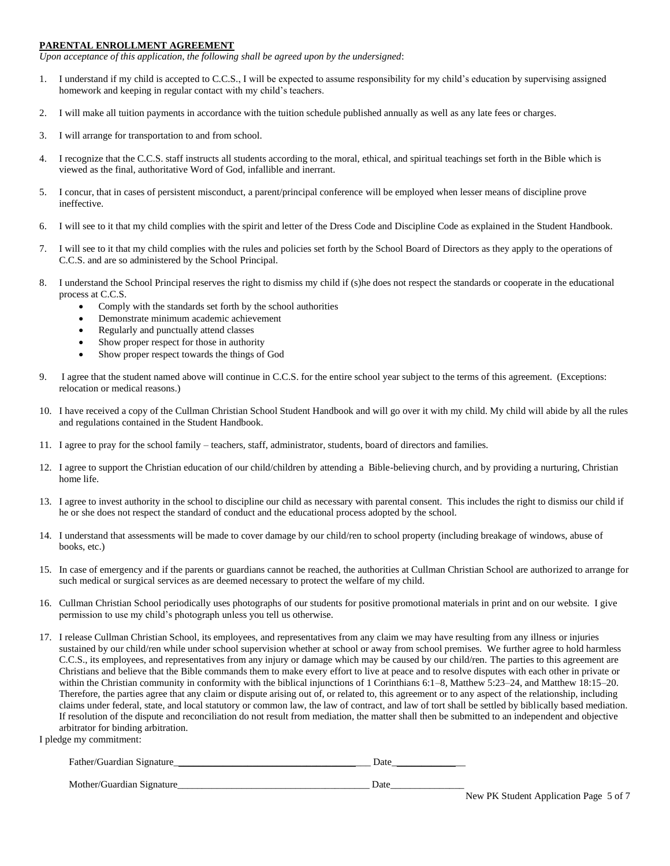#### **PARENTAL ENROLLMENT AGREEMENT**

*Upon acceptance of this application, the following shall be agreed upon by the undersigned*:

- 1. I understand if my child is accepted to C.C.S., I will be expected to assume responsibility for my child's education by supervising assigned homework and keeping in regular contact with my child's teachers.
- 2. I will make all tuition payments in accordance with the tuition schedule published annually as well as any late fees or charges.
- 3. I will arrange for transportation to and from school.
- 4. I recognize that the C.C.S. staff instructs all students according to the moral, ethical, and spiritual teachings set forth in the Bible which is viewed as the final, authoritative Word of God, infallible and inerrant.
- 5. I concur, that in cases of persistent misconduct, a parent/principal conference will be employed when lesser means of discipline prove ineffective.
- 6. I will see to it that my child complies with the spirit and letter of the Dress Code and Discipline Code as explained in the Student Handbook.
- 7. I will see to it that my child complies with the rules and policies set forth by the School Board of Directors as they apply to the operations of C.C.S. and are so administered by the School Principal.
- 8. I understand the School Principal reserves the right to dismiss my child if (s)he does not respect the standards or cooperate in the educational process at C.C.S.
	- Comply with the standards set forth by the school authorities
	- Demonstrate minimum academic achievement
	- Regularly and punctually attend classes
	- Show proper respect for those in authority
	- Show proper respect towards the things of God
- 9. I agree that the student named above will continue in C.C.S. for the entire school year subject to the terms of this agreement. (Exceptions: relocation or medical reasons.)
- 10. I have received a copy of the Cullman Christian School Student Handbook and will go over it with my child. My child will abide by all the rules and regulations contained in the Student Handbook.
- 11. I agree to pray for the school family teachers, staff, administrator, students, board of directors and families.
- 12. I agree to support the Christian education of our child/children by attending a Bible-believing church, and by providing a nurturing, Christian home life.
- 13. I agree to invest authority in the school to discipline our child as necessary with parental consent. This includes the right to dismiss our child if he or she does not respect the standard of conduct and the educational process adopted by the school.
- 14. I understand that assessments will be made to cover damage by our child/ren to school property (including breakage of windows, abuse of books, etc.)
- 15. In case of emergency and if the parents or guardians cannot be reached, the authorities at Cullman Christian School are authorized to arrange for such medical or surgical services as are deemed necessary to protect the welfare of my child.
- 16. Cullman Christian School periodically uses photographs of our students for positive promotional materials in print and on our website. I give permission to use my child's photograph unless you tell us otherwise.
- 17. I release Cullman Christian School, its employees, and representatives from any claim we may have resulting from any illness or injuries sustained by our child/ren while under school supervision whether at school or away from school premises. We further agree to hold harmless C.C.S., its employees, and representatives from any injury or damage which may be caused by our child/ren. The parties to this agreement are Christians and believe that the Bible commands them to make every effort to live at peace and to resolve disputes with each other in private or within the Christian community in conformity with the biblical injunctions of 1 Corinthians 6:1–8, Matthew 5:23–24, and Matthew 18:15–20. Therefore, the parties agree that any claim or dispute arising out of, or related to, this agreement or to any aspect of the relationship, including claims under federal, state, and local statutory or common law, the law of contract, and law of tort shall be settled by biblically based mediation. If resolution of the dispute and reconciliation do not result from mediation, the matter shall then be submitted to an independent and objective arbitrator for binding arbitration.

I pledge my commitment:

Father/Guardian Signature\_\_\_\_\_\_\_\_\_\_\_\_\_\_\_\_\_\_\_\_\_\_\_\_\_\_\_\_\_\_\_\_\_\_\_\_\_\_\_\_ Date\_\_\_\_\_\_\_\_\_\_\_\_\_\_\_

Mother/Guardian Signature\_\_\_\_\_\_\_\_\_\_\_\_\_\_\_\_\_\_\_\_\_\_\_\_\_\_\_\_\_\_\_\_\_\_\_\_\_\_\_ Date\_\_\_\_\_\_\_\_\_\_\_\_\_\_\_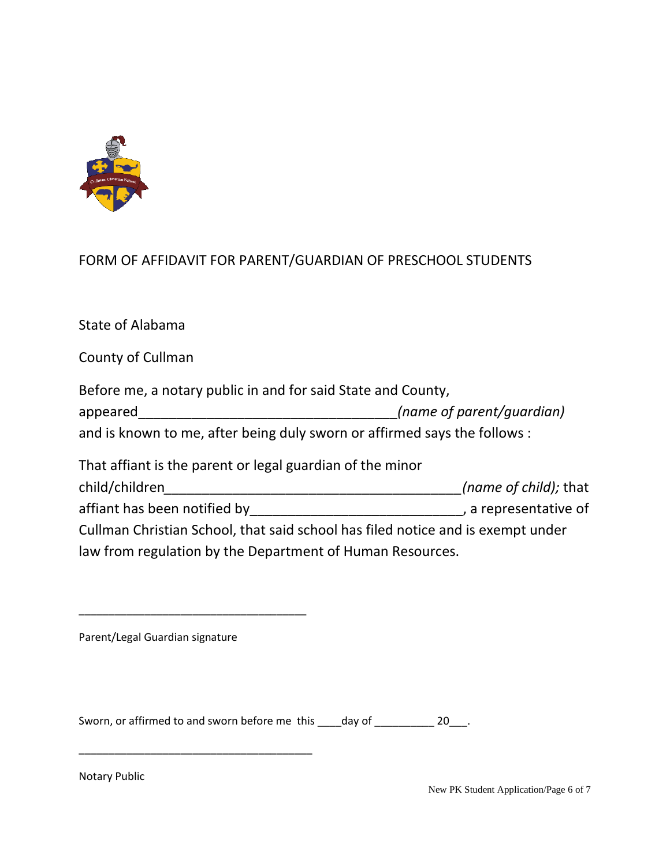

## FORM OF AFFIDAVIT FOR PARENT/GUARDIAN OF PRESCHOOL STUDENTS

State of Alabama

County of Cullman

| Before me, a notary public in and for said State and County,              |                           |
|---------------------------------------------------------------------------|---------------------------|
| appeared                                                                  | (name of parent/quardian) |
| and is known to me, after being duly sworn or affirmed says the follows : |                           |

| That affiant is the parent or legal guardian of the minor                       |                       |
|---------------------------------------------------------------------------------|-----------------------|
| child/children                                                                  | (name of child); that |
| affiant has been notified by                                                    | , a representative of |
| Cullman Christian School, that said school has filed notice and is exempt under |                       |
| law from regulation by the Department of Human Resources.                       |                       |

\_\_\_\_\_\_\_\_\_\_\_\_\_\_\_\_\_\_\_\_\_\_\_\_\_\_\_\_\_\_\_\_\_\_\_\_\_\_

\_\_\_\_\_\_\_\_\_\_\_\_\_\_\_\_\_\_\_\_\_\_\_\_\_\_\_\_\_\_\_\_\_\_\_\_\_\_\_

Sworn, or affirmed to and sworn before me this \_\_\_\_day of \_\_\_\_\_\_\_\_\_\_\_ 20\_\_\_.

Notary Public